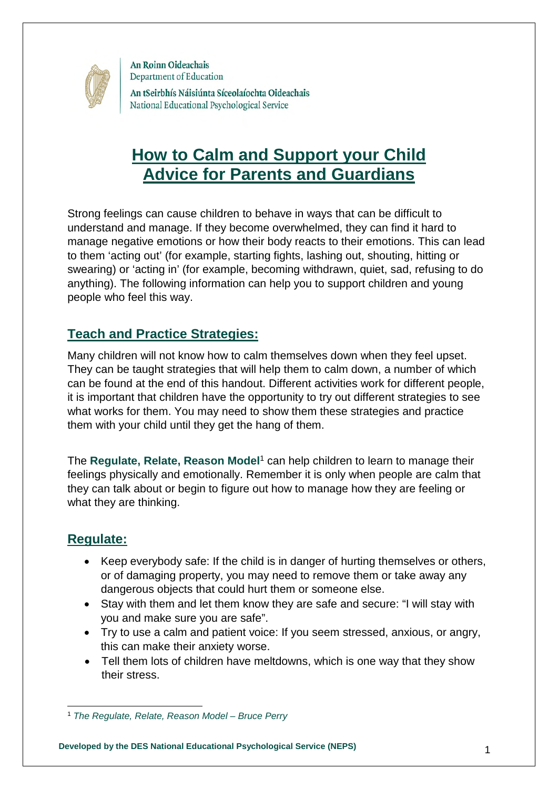

An tSeirbhís Náisiúnta Síceolaíochta Oideachais National Educational Psychological Service

# **How to Calm and Support your Child Advice for Parents and Guardians**

Strong feelings can cause children to behave in ways that can be difficult to understand and manage. If they become overwhelmed, they can find it hard to manage negative emotions or how their body reacts to their emotions. This can lead to them 'acting out' (for example, starting fights, lashing out, shouting, hitting or swearing) or 'acting in' (for example, becoming withdrawn, quiet, sad, refusing to do anything). The following information can help you to support children and young people who feel this way.

# **Teach and Practice Strategies:**

Many children will not know how to calm themselves down when they feel upset. They can be taught strategies that will help them to calm down, a number of which can be found at the end of this handout. Different activities work for different people, it is important that children have the opportunity to try out different strategies to see what works for them. You may need to show them these strategies and practice them with your child until they get the hang of them.

The Regulate, Relate, Reason Model<sup>[1](#page-0-0)</sup> can help children to learn to manage their feelings physically and emotionally. Remember it is only when people are calm that they can talk about or begin to figure out how to manage how they are feeling or what they are thinking.

# **Regulate:**

- Keep everybody safe: If the child is in danger of hurting themselves or others, or of damaging property, you may need to remove them or take away any dangerous objects that could hurt them or someone else.
- Stay with them and let them know they are safe and secure: "I will stay with you and make sure you are safe".
- Try to use a calm and patient voice: If you seem stressed, anxious, or angry, this can make their anxiety worse.
- Tell them lots of children have meltdowns, which is one way that they show their stress.

1 **Developed by the DES National Educational Psychological Service (NEPS)**

<span id="page-0-0"></span><sup>1</sup> *The Regulate, Relate, Reason Model – Bruce Perry*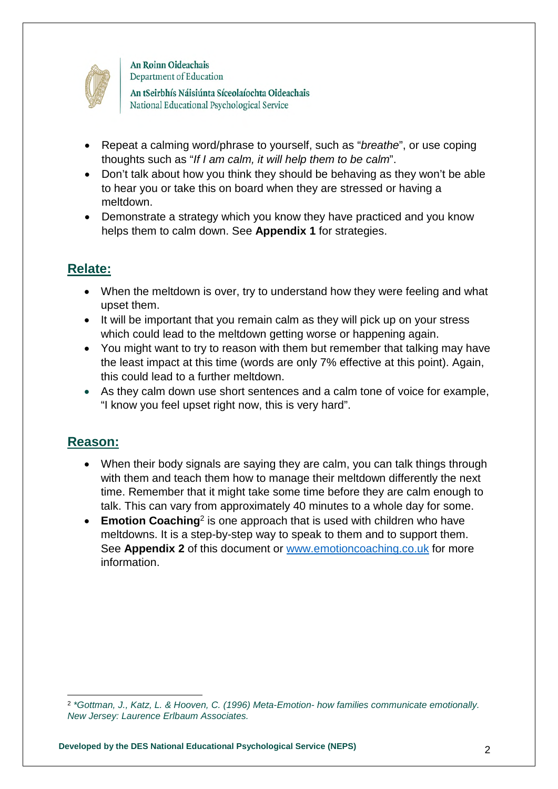

An tSeirbhís Náisiúnta Síceolaíochta Oideachais National Educational Psychological Service

- Repeat a calming word/phrase to yourself, such as "*breathe*", or use coping thoughts such as "*If I am calm, it will help them to be calm*".
- Don't talk about how you think they should be behaving as they won't be able to hear you or take this on board when they are stressed or having a meltdown.
- Demonstrate a strategy which you know they have practiced and you know helps them to calm down. See **Appendix 1** for strategies.

# **Relate:**

- When the meltdown is over, try to understand how they were feeling and what upset them.
- It will be important that you remain calm as they will pick up on your stress which could lead to the meltdown getting worse or happening again.
- You might want to try to reason with them but remember that talking may have the least impact at this time (words are only 7% effective at this point). Again, this could lead to a further meltdown.
- As they calm down use short sentences and a calm tone of voice for example, "I know you feel upset right now, this is very hard".

# **Reason:**

- When their body signals are saying they are calm, you can talk things through with them and teach them how to manage their meltdown differently the next time. Remember that it might take some time before they are calm enough to talk. This can vary from approximately 40 minutes to a whole day for some.
- **Emotion Coaching**<sup>[2](#page-1-0)</sup> is one approach that is used with children who have meltdowns. It is a step-by-step way to speak to them and to support them. See **[Appendix 2](#page-6-0)** of this document or [www.emotioncoaching.co.uk](http://www.emotioncoaching.co.uk/) for more information.

<span id="page-1-0"></span><sup>2</sup> *\*Gottman, J., Katz, L. & Hooven, C. (1996) Meta-Emotion- how families communicate emotionally. New Jersey: Laurence Erlbaum Associates.*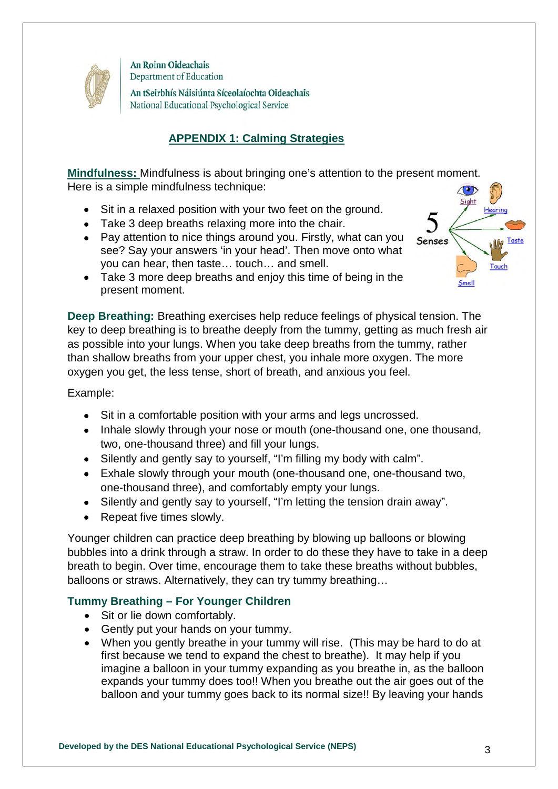

An tSeirbhís Náisiúnta Síceolaíochta Oideachais National Educational Psychological Service

## **APPENDIX 1: Calming Strategies**

**Mindfulness:** Mindfulness is about bringing one's attention to the present moment. Here is a simple mindfulness technique:

- Sit in a relaxed position with your two feet on the ground.
- Take 3 deep breaths relaxing more into the chair.
- Pay attention to nice things around you. Firstly, what can you see? Say your answers 'in your head'. Then move onto what you can hear, then taste… touch… and smell.
- Take 3 more deep breaths and enjoy this time of being in the present moment.

**Deep Breathing:** Breathing exercises help reduce feelings of physical tension. The key to deep breathing is to breathe deeply from the tummy, getting as much fresh air as possible into your lungs. When you take deep breaths from the tummy, rather than shallow breaths from your upper chest, you inhale more oxygen. The more oxygen you get, the less tense, short of breath, and anxious you feel.

Example:

- Sit in a comfortable position with your arms and legs uncrossed.
- Inhale slowly through your nose or mouth (one-thousand one, one thousand, two, one-thousand three) and fill your lungs.
- Silently and gently say to yourself. "I'm filling my body with calm".
- Exhale slowly through your mouth (one-thousand one, one-thousand two, one-thousand three), and comfortably empty your lungs.
- Silently and gently say to yourself, "I'm letting the tension drain away".
- Repeat five times slowly.

Younger children can practice deep breathing by blowing up balloons or blowing bubbles into a drink through a straw. In order to do these they have to take in a deep breath to begin. Over time, encourage them to take these breaths without bubbles, balloons or straws. Alternatively, they can try tummy breathing…

### **Tummy Breathing – For Younger Children**

- Sit or lie down comfortably.
- Gently put your hands on your tummy.
- When you gently breathe in your tummy will rise. (This may be hard to do at first because we tend to expand the chest to breathe). It may help if you imagine a balloon in your tummy expanding as you breathe in, as the balloon expands your tummy does too!! When you breathe out the air goes out of the balloon and your tummy goes back to its normal size!! By leaving your hands



Senses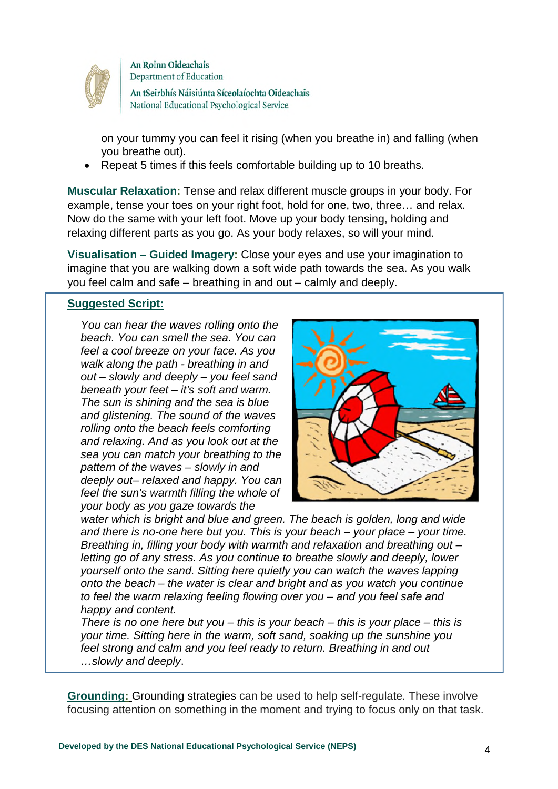

An tSeirbhís Náisiúnta Síceolaíochta Oideachais National Educational Psychological Service

on your tummy you can feel it rising (when you breathe in) and falling (when you breathe out).

Repeat 5 times if this feels comfortable building up to 10 breaths.

**Muscular Relaxation:** Tense and relax different muscle groups in your body. For example, tense your toes on your right foot, hold for one, two, three… and relax. Now do the same with your left foot. Move up your body tensing, holding and relaxing different parts as you go. As your body relaxes, so will your mind.

**Visualisation – Guided Imagery:** Close your eyes and use your imagination to imagine that you are walking down a soft wide path towards the sea. As you walk you feel calm and safe – breathing in and out – calmly and deeply.

#### **Suggested Script:**

*You can hear the waves rolling onto the beach. You can smell the sea. You can feel a cool breeze on your face. As you walk along the path - breathing in and out – slowly and deeply – you feel sand beneath your feet – it's soft and warm. The sun is shining and the sea is blue and glistening. The sound of the waves rolling onto the beach feels comforting and relaxing. And as you look out at the sea you can match your breathing to the pattern of the waves – slowly in and deeply out– relaxed and happy. You can feel the sun's warmth filling the whole of your body as you gaze towards the* 



*water which is bright and blue and green. The beach is golden, long and wide and there is no-one here but you. This is your beach – your place – your time. Breathing in, filling your body with warmth and relaxation and breathing out – letting go of any stress. As you continue to breathe slowly and deeply, lower yourself onto the sand. Sitting here quietly you can watch the waves lapping onto the beach – the water is clear and bright and as you watch you continue to feel the warm relaxing feeling flowing over you – and you feel safe and happy and content.* 

*There is no one here but you – this is your beach – this is your place – this is your time. Sitting here in the warm, soft sand, soaking up the sunshine you feel strong and calm and you feel ready to return. Breathing in and out …slowly and deeply*.

**Grounding:** Grounding strategies can be used to help self-regulate. These involve focusing attention on something in the moment and trying to focus only on that task.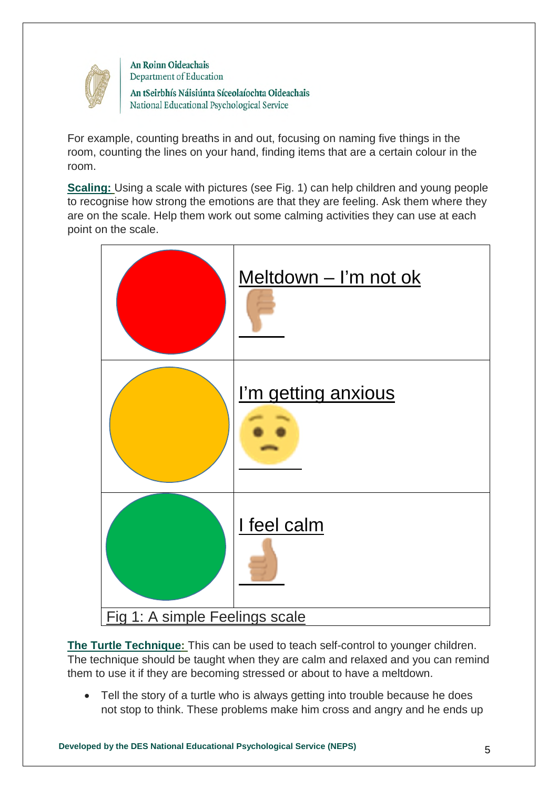

An tSeirbhís Náisiúnta Síceolaíochta Oideachais National Educational Psychological Service

For example, counting breaths in and out, focusing on naming five things in the room, counting the lines on your hand, finding items that are a certain colour in the room.

**Scaling:** Using a scale with pictures (see Fig. 1) can help children and young people to recognise how strong the emotions are that they are feeling. Ask them where they are on the scale. Help them work out some calming activities they can use at each point on the scale.



**The Turtle Technique:** This can be used to teach self-control to younger children. The technique should be taught when they are calm and relaxed and you can remind them to use it if they are becoming stressed or about to have a meltdown.

• Tell the story of a turtle who is always getting into trouble because he does not stop to think. These problems make him cross and angry and he ends up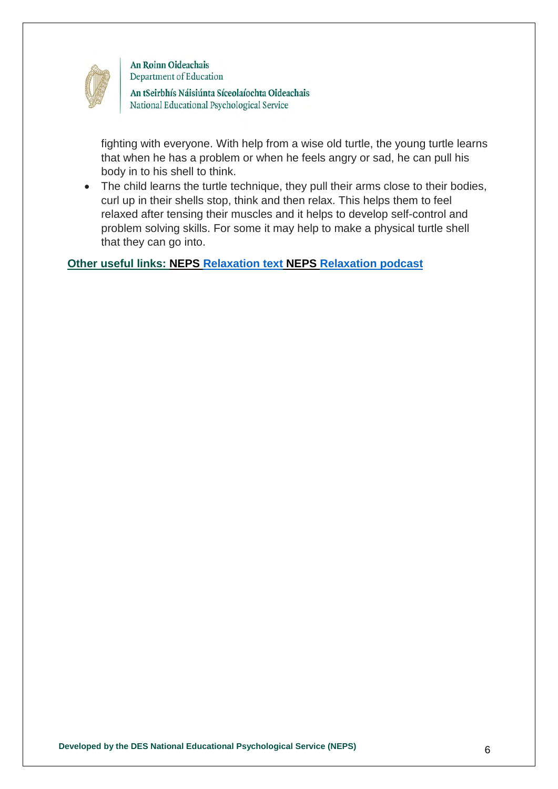

An tSeirbhís Náisiúnta Síceolaíochta Oideachais National Educational Psychological Service

fighting with everyone. With help from a wise old turtle, the young turtle learns that when he has a problem or when he feels angry or sad, he can pull his body in to his shell to think.

 The child learns the turtle technique, they pull their arms close to their bodies, curl up in their shells stop, think and then relax. This helps them to feel relaxed after tensing their muscles and it helps to develop self-control and problem solving skills. For some it may help to make a physical turtle shell that they can go into.

**Other useful links: NEPS [Relaxation text](https://www.education.ie/en/The-Department/Announcements/new-relaxation-techniques.pdf) NEPS [Relaxation podcast](https://soundcloud.com/user-719669409/relaxation-techniques-30-03-2020)**